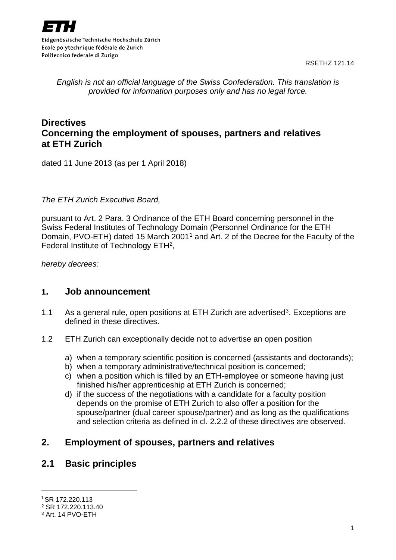

Eidgenössische Technische Hochschule Zürich Ecole polytechnique fédérale de Zurich Politecnico federale di Zurigo

RSETHZ 121.14

*English is not an official language of the Swiss Confederation. This translation is provided for information purposes only and has no legal force.*

## **Directives Concerning the employment of spouses, partners and relatives at ETH Zurich**

dated 11 June 2013 (as per 1 April 2018)

*The ETH Zurich Executive Board,*

pursuant to Art. 2 Para. 3 Ordinance of the ETH Board concerning personnel in the Swiss Federal Institutes of Technology Domain (Personnel Ordinance for the ETH Domain, PVO-ETH) dated [1](#page-0-0)5 March 2001<sup>1</sup> and Art. 2 of the Decree for the Faculty of the Federal Institute of Technology ETH[2](#page-0-1),

*hereby decrees:*

#### **1. Job announcement**

- 1.1 As a general rule, open positions at ETH Zurich are advertised<sup>[3](#page-0-2)</sup>. Exceptions are defined in these directives.
- 1.2 ETH Zurich can exceptionally decide not to advertise an open position
	- a) when a temporary scientific position is concerned (assistants and doctorands);
	- b) when a temporary administrative/technical position is concerned;
	- c) when a position which is filled by an ETH-employee or someone having just finished his/her apprenticeship at ETH Zurich is concerned;
	- d) if the success of the negotiations with a candidate for a faculty position depends on the promise of ETH Zurich to also offer a position for the spouse/partner (dual career spouse/partner) and as long as the qualifications and selection criteria as defined in cl. 2.2.2 of these directives are observed.

### **2. Employment of spouses, partners and relatives**

### **2.1 Basic principles**

<span id="page-0-0"></span> <sup>1</sup> SR 172.220.113

<span id="page-0-1"></span><sup>2</sup> SR 172.220.113.40

<span id="page-0-2"></span><sup>3</sup> Art. 14 PVO-ETH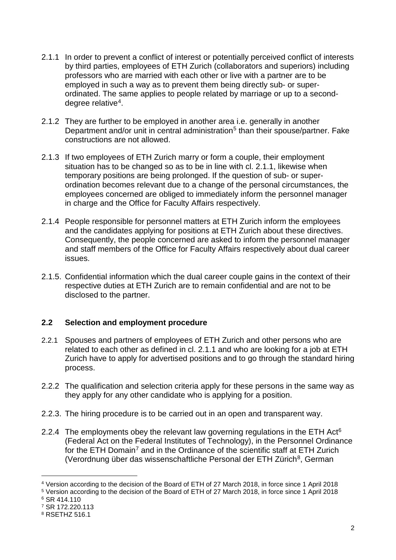- 2.1.1 In order to prevent a conflict of interest or potentially perceived conflict of interests by third parties, employees of ETH Zurich (collaborators and superiors) including professors who are married with each other or live with a partner are to be employed in such a way as to prevent them being directly sub- or superordinated. The same applies to people related by marriage or up to a seconddegree relative[4](#page-1-0).
- 2.1.2 They are further to be employed in another area i.e. generally in another Department and/or unit in central administration<sup>[5](#page-1-1)</sup> than their spouse/partner. Fake constructions are not allowed.
- 2.1.3 If two employees of ETH Zurich marry or form a couple, their employment situation has to be changed so as to be in line with cl. 2.1.1, likewise when temporary positions are being prolonged. If the question of sub- or superordination becomes relevant due to a change of the personal circumstances, the employees concerned are obliged to immediately inform the personnel manager in charge and the Office for Faculty Affairs respectively.
- 2.1.4 People responsible for personnel matters at ETH Zurich inform the employees and the candidates applying for positions at ETH Zurich about these directives. Consequently, the people concerned are asked to inform the personnel manager and staff members of the Office for Faculty Affairs respectively about dual career issues.
- 2.1.5. Confidential information which the dual career couple gains in the context of their respective duties at ETH Zurich are to remain confidential and are not to be disclosed to the partner.

#### **2.2 Selection and employment procedure**

- 2.2.1 Spouses and partners of employees of ETH Zurich and other persons who are related to each other as defined in cl. 2.1.1 and who are looking for a job at ETH Zurich have to apply for advertised positions and to go through the standard hiring process.
- 2.2.2 The qualification and selection criteria apply for these persons in the same way as they apply for any other candidate who is applying for a position.
- 2.2.3. The hiring procedure is to be carried out in an open and transparent way.
- 2.2.4 The employments obey the relevant law governing regulations in the ETH Act $6$ (Federal Act on the Federal Institutes of Technology), in the Personnel Ordinance for the ETH Domain<sup>[7](#page-1-3)</sup> and in the Ordinance of the scientific staff at ETH Zurich (Verordnung über das wissenschaftliche Personal der ETH Zürich<sup>8</sup>, German

 $\overline{a}$ 

<span id="page-1-0"></span><sup>4</sup> Version according to the decision of the Board of ETH of 27 March 2018, in force since 1 April 2018

<span id="page-1-1"></span><sup>5</sup> Version according to the decision of the Board of ETH of 27 March 2018, in force since 1 April 2018

<span id="page-1-2"></span><sup>6</sup> SR 414.110

<span id="page-1-3"></span><sup>7</sup> SR 172.220.113

<span id="page-1-4"></span><sup>8</sup> RSETHZ 516.1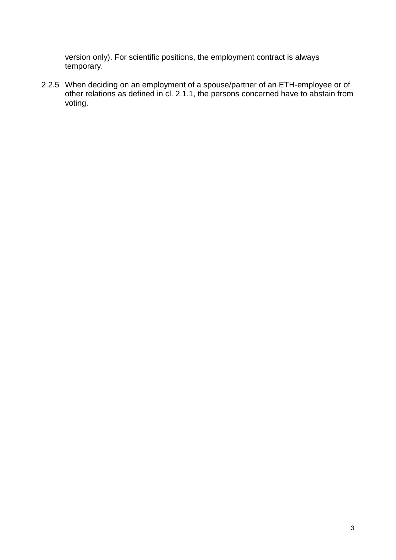version only). For scientific positions, the employment contract is always temporary.

2.2.5 When deciding on an employment of a spouse/partner of an ETH-employee or of other relations as defined in cl. 2.1.1, the persons concerned have to abstain from voting.